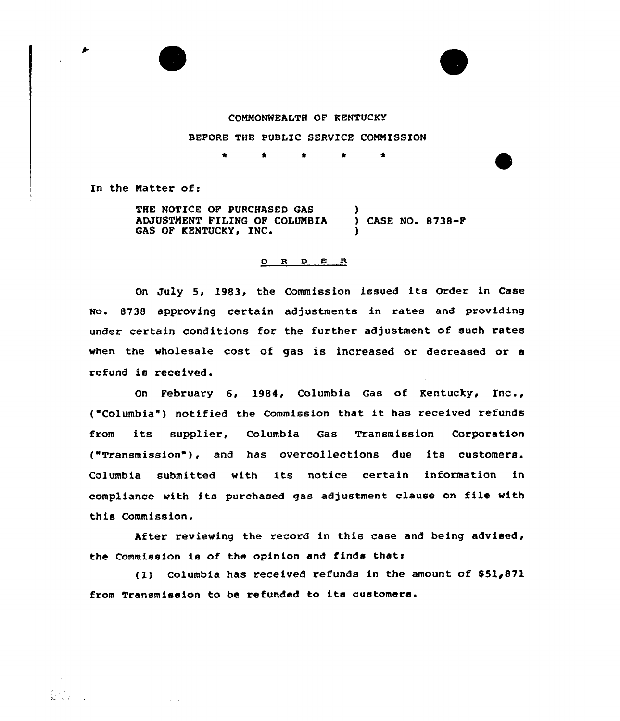



## COMMONWEALTH OF KENTUCKY

## BEFORE THE PUBLIC SERVICE COMMISSION

\* \*

In the Matter of:

THE NOTICE OF PURCHASED GAS ADJUSTMENT FILING OF COLUMBIA (ASE NO. 8738-F)<br>GAS OF KENTUCKY, INC. (2008) )

## 0 <sup>R</sup> <sup>D</sup> E R

On July 5, 1983, the Commission issued its Order in Case No. 8738 approving certain adjustments in rates and providing under certain conditions for the further adjustment of such rates when the wholesale cost of gas is increased or decreased or a refund is received.

On February 6, 1984, Columbia Gas of Kentucky, Inc., {"Columbia" ) notified the Commission that it has received refunds from its supplier, Columbia Gas Transmission Corporation {"Transmission"}, and has overcollections due its customers. Columbia submitted with its notice certain information in compliance with its purchased gas adjustment clause on file with this Commission.

After reviewing the record in this case and being advised, the Commission is of the opinion and finds that:

(1} columbia has received refunds in the amount of \$51,871 from Transmission to be refunded to its customers.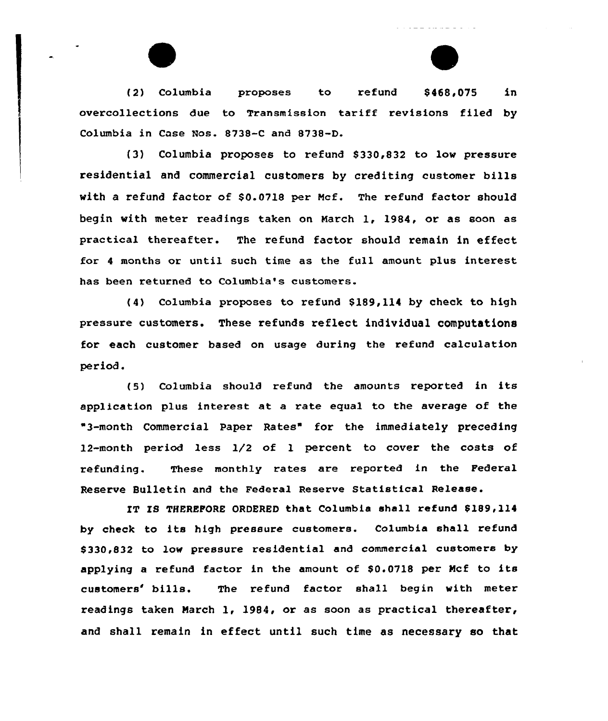(2) Columbia proposes to refund \$468,075 in overcollections due to Transmission tariff revisions filed by Columbia in Case Nos. 8738-C and 8738-D.

المتواطن والمتواطن والمتواطن

(3) Columbia proposes to refund \$330,832 to low pressure residential and commercial customers by crediting customer bills with a refund factor af \$0.0718 per Ncf. The refund factor should begin with meter readings taken on March 1, 1984, or as soon as practical thereafter. The refund factor should remain in effect for 4 months or until such time as the full amount plus interest has been xetuxned to Columbia's customers.

(4) Columbia proposes to refund \$189,114 by check to high pressure customers. These refunds reflect individual computations for each customer based on usage duxing the xefund calculation per iod.

(5) Calumbia should refund the amounts reported in its application plus interest at a xate equal to the average of the "3-month Commercial Paper Rates" fox the immediately preceding 12-month period less 1/2 of 1 percent to covex the costs of refunding. These monthly rates are repoxted in the Federal Reserve Bulletin and the Federal Reserve Statistical Release.

IT IS THEREFORE ORDERED that Columbia shall refund \$189,114 by check to its high pressure customers. Columbia shall refund \$ 330,832 to low pressure residential and commercial customers by applying a refund factor in the amount of \$0.0718 per Mcf to its customers' bills. The refund factor shall begin with meter readings taken March 1, 1984, or as soon as practical thereafter, and shall remain in effeet until such time as necessary so that